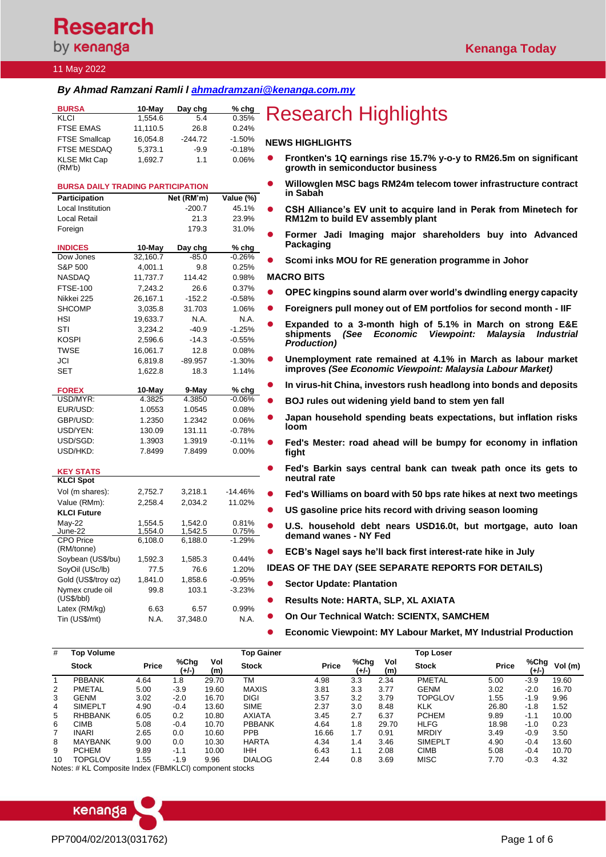**Research** by **kenanga** 

### 11 May 2022

### *By Ahmad Ramzani Ramli l [ahmadramzani@kenanga.com.my](mailto:ahmadramzani@kenanga.com.my)*

| <b>BURSA</b>                             | 10-May              | Day chg        | $%$ chg       | <b>Research Highlights</b>                                                                                      |
|------------------------------------------|---------------------|----------------|---------------|-----------------------------------------------------------------------------------------------------------------|
| KLCI                                     | 1,554.6             | 5.4            | 0.35%         |                                                                                                                 |
| <b>FTSE EMAS</b>                         | 11,110.5            | 26.8           | 0.24%         |                                                                                                                 |
| <b>FTSE Smallcap</b>                     | 16,054.8            | $-244.72$      | $-1.50%$      | <b>NEWS HIGHLIGHTS</b>                                                                                          |
| FTSE MESDAQ                              | 5,373.1             | $-9.9$         | $-0.18%$      |                                                                                                                 |
| <b>KLSE Mkt Cap</b>                      | 1,692.7             | 1.1            | 0.06%         | Frontken's 1Q earnings rise 15.7% y-o-y to RM26.5m on significant<br>growth in semiconductor business           |
| (RM'b)                                   |                     |                |               |                                                                                                                 |
| <b>BURSA DAILY TRADING PARTICIPATION</b> |                     |                |               | Willowglen MSC bags RM24m telecom tower infrastructure contract                                                 |
| <b>Participation</b>                     |                     | Net (RM'm)     | Value (%)     | in Sabah                                                                                                        |
| Local Institution                        |                     | $-200.7$       | 45.1%         | CSH Alliance's EV unit to acquire land in Perak from Minetech for                                               |
| Local Retail                             |                     | 21.3           | 23.9%         | RM12m to build EV assembly plant                                                                                |
| Foreign                                  |                     | 179.3          | 31.0%         |                                                                                                                 |
|                                          |                     |                |               | Former Jadi Imaging major shareholders buy into Advanced                                                        |
| <b>INDICES</b>                           | 10-May              | Day chg        | $%$ chg       | Packaging                                                                                                       |
| Dow Jones                                | 32,160.7            | $-85.0$        | $-0.26%$      | Scomi inks MOU for RE generation programme in Johor                                                             |
| S&P 500                                  | 4,001.1             | 9.8            | 0.25%         |                                                                                                                 |
| NASDAQ                                   | 11,737.7            | 114.42         | 0.98%         | <b>MACRO BITS</b>                                                                                               |
| <b>FTSE-100</b>                          | 7,243.2             | 26.6           | 0.37%         | OPEC kingpins sound alarm over world's dwindling energy capacity                                                |
| Nikkei 225<br><b>SHCOMP</b>              | 26,167.1            | $-152.2$       | $-0.58%$      |                                                                                                                 |
| HSI                                      | 3,035.8<br>19,633.7 | 31.703<br>N.A. | 1.06%<br>N.A. | Foreigners pull money out of EM portfolios for second month - IIF                                               |
| STI                                      | 3,234.2             | $-40.9$        | $-1.25%$      | Expanded to a 3-month high of 5.1% in March on strong E&E                                                       |
| KOSPI                                    | 2,596.6             | $-14.3$        | $-0.55%$      | shipments<br>(See<br><b>Economic</b><br><b>Viewpoint:</b><br><b>Malavsia</b><br><i><u><b>Industrial</b></u></i> |
| <b>TWSE</b>                              | 16,061.7            | 12.8           | 0.08%         | <b>Production</b> )                                                                                             |
| JCI                                      | 6,819.8             | $-89.957$      | $-1.30%$      | Unemployment rate remained at 4.1% in March as labour market<br>$\bullet$                                       |
| SET                                      | 1,622.8             | 18.3           | 1.14%         | improves (See Economic Viewpoint: Malaysia Labour Market)                                                       |
|                                          |                     |                |               |                                                                                                                 |
| <b>FOREX</b>                             | 10-May              | 9-May          | % chg         | In virus-hit China, investors rush headlong into bonds and deposits                                             |
| USD/MYR:                                 | 4.3825              | 4.3850         | $-0.06\%$     | BOJ rules out widening yield band to stem yen fall                                                              |
| EUR/USD:                                 | 1.0553              | 1.0545         | 0.08%         | Japan household spending beats expectations, but inflation risks                                                |
| GBP/USD:                                 | 1.2350              | 1.2342         | 0.06%         | loom                                                                                                            |
| USD/YEN:                                 | 130.09              | 131.11         | $-0.78%$      |                                                                                                                 |
| USD/SGD:                                 | 1.3903              | 1.3919         | $-0.11%$      | Fed's Mester: road ahead will be bumpy for economy in inflation                                                 |
| USD/HKD:                                 | 7.8499              | 7.8499         | 0.00%         | fight                                                                                                           |
| <b>KEY STATS</b>                         |                     |                |               | Fed's Barkin says central bank can tweak path once its gets to<br>$\bullet$                                     |
| <b>KLCI Spot</b>                         |                     |                |               | neutral rate                                                                                                    |
| Vol (m shares):                          | 2,752.7             | 3,218.1        | $-14.46%$     | Fed's Williams on board with 50 bps rate hikes at next two meetings<br>$\bullet$                                |
| Value (RMm):                             | 2,258.4             | 2,034.2        | 11.02%        |                                                                                                                 |
| <b>KLCI Future</b>                       |                     |                |               | US gasoline price hits record with driving season looming                                                       |
| May-22                                   | 1,554.5             | 1,542.0        | 0.81%         | U.S. household debt nears USD16.0t, but mortgage, auto loan                                                     |
| June-22                                  | 1,554.0             | 1,542.5        | 0.75%         | demand wanes - NY Fed                                                                                           |
| <b>CPO Price</b><br>(RM/tonne)           | 6,108.0             | 6,188.0        | $-1.29%$      |                                                                                                                 |
| Soybean (US\$/bu)                        | 1,592.3             | 1,585.3        | 0.44%         | ECB's Nagel says he'll back first interest-rate hike in July                                                    |
| SoyOil (USc/lb)                          | 77.5                | 76.6           | 1.20%         | <b>IDEAS OF THE DAY (SEE SEPARATE REPORTS FOR DETAILS)</b>                                                      |
| Gold (US\$/troy oz)                      | 1,841.0             | 1,858.6        | $-0.95%$      |                                                                                                                 |
| Nymex crude oil                          | 99.8                | 103.1          | $-3.23%$      | <b>Sector Update: Plantation</b>                                                                                |
| (US\$/bbl)                               |                     |                |               | Results Note: HARTA, SLP, XL AXIATA                                                                             |
| Latex (RM/kg)                            | 6.63                | 6.57           | 0.99%         |                                                                                                                 |
| Tin (US\$/mt)                            | N.A.                | 37,348.0       | N.A.          | On Our Technical Watch: SCIENTX, SAMCHEM                                                                        |
|                                          |                     |                |               | Economic Viewpoint: MY Labour Market, MY Industrial Production                                                  |
|                                          |                     |                |               |                                                                                                                 |

| #  | Top Volume     |              |               |            | <b>Top Gainer</b> |              |                 |            | <b>Top Loser</b> |              |               |         |
|----|----------------|--------------|---------------|------------|-------------------|--------------|-----------------|------------|------------------|--------------|---------------|---------|
|    | <b>Stock</b>   | <b>Price</b> | %Chg<br>(+/-) | Vol<br>(m) | <b>Stock</b>      | <b>Price</b> | %Chg<br>$(+/-)$ | Vol<br>(m) | <b>Stock</b>     | <b>Price</b> | %Chg<br>(+/-) | Vol (m) |
|    | <b>PBBANK</b>  | 4.64         | 1.8           | 29.70      | <b>TM</b>         | 4.98         | 3.3             | 2.34       | <b>PMETAL</b>    | 5.00         | $-3.9$        | 19.60   |
| 2  | <b>PMETAL</b>  | 5.00         | $-3.9$        | 19.60      | <b>MAXIS</b>      | 3.81         | 3.3             | 3.77       | <b>GENM</b>      | 3.02         | $-2.0$        | 16.70   |
| 3  | <b>GENM</b>    | 3.02         | $-2.0$        | 16.70      | <b>DIGI</b>       | 3.57         | 3.2             | 3.79       | <b>TOPGLOV</b>   | .55          | $-1.9$        | 9.96    |
| 4  | <b>SIMEPLT</b> | 4.90         | $-0.4$        | 13.60      | <b>SIME</b>       | 2.37         | 3.0             | 8.48       | <b>KLK</b>       | 26.80        | $-1.8$        | 1.52    |
| 5  | <b>RHBBANK</b> | 6.05         | 0.2           | 10.80      | <b>AXIATA</b>     | 3.45         | 2.7             | 6.37       | <b>PCHEM</b>     | 9.89         | $-1.1$        | 10.00   |
| 6  | <b>CIMB</b>    | 5.08         | $-0.4$        | 10.70      | <b>PBBANK</b>     | 4.64         | 1.8             | 29.70      | <b>HLFG</b>      | 18.98        | $-1.0$        | 0.23    |
|    | <b>INARI</b>   | 2.65         | 0.0           | 10.60      | <b>PPB</b>        | 16.66        | 1.7             | 0.91       | <b>MRDIY</b>     | 3.49         | $-0.9$        | 3.50    |
| 8  | <b>MAYBANK</b> | 9.00         | 0.0           | 10.30      | <b>HARTA</b>      | 4.34         | 1.4             | 3.46       | <b>SIMEPLT</b>   | 4.90         | $-0.4$        | 13.60   |
| 9  | <b>PCHEM</b>   | 9.89         | $-1.1$        | 10.00      | <b>IHH</b>        | 6.43         | 1.1             | 2.08       | <b>CIMB</b>      | 5.08         | $-0.4$        | 10.70   |
| 10 | TOPGLOV        | 1.55         | $-1.9$        | 9.96       | <b>DIALOG</b>     | 2.44         | 0.8             | 3.69       | <b>MISC</b>      | 7.70         | $-0.3$        | 4.32    |

Notes: # KL Composite Index (FBMKLCI) component stocks

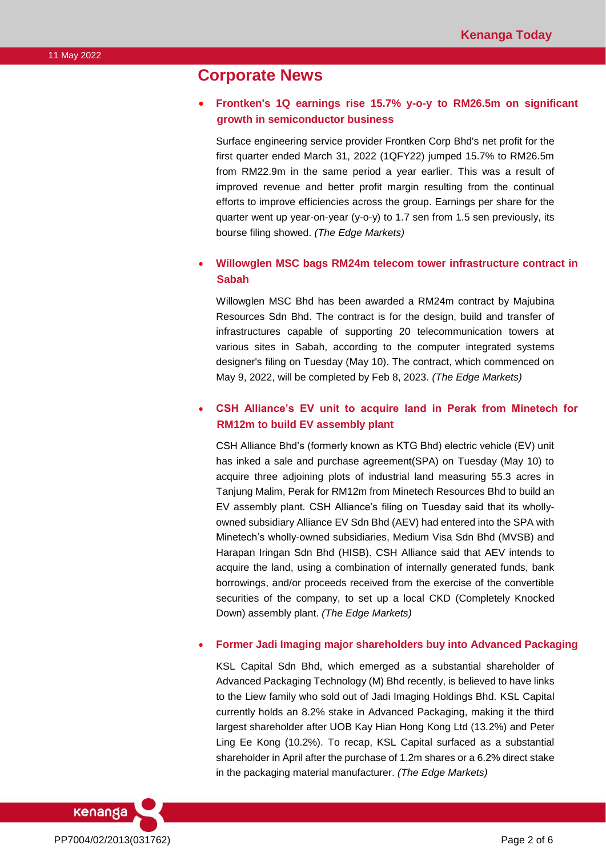# **Corporate News**

### • **Frontken's 1Q earnings rise 15.7% y-o-y to RM26.5m on significant growth in semiconductor business**

Surface engineering service provider Frontken Corp Bhd's net profit for the first quarter ended March 31, 2022 (1QFY22) jumped 15.7% to RM26.5m from RM22.9m in the same period a year earlier. This was a result of improved revenue and better profit margin resulting from the continual efforts to improve efficiencies across the group. Earnings per share for the quarter went up year-on-year (y-o-y) to 1.7 sen from 1.5 sen previously, its bourse filing showed. *(The Edge Markets)*

### • **Willowglen MSC bags RM24m telecom tower infrastructure contract in Sabah**

Willowglen MSC Bhd has been awarded a RM24m contract by Majubina Resources Sdn Bhd. The contract is for the design, build and transfer of infrastructures capable of supporting 20 telecommunication towers at various sites in Sabah, according to the computer integrated systems designer's filing on Tuesday (May 10). The contract, which commenced on May 9, 2022, will be completed by Feb 8, 2023. *(The Edge Markets)*

### • **CSH Alliance's EV unit to acquire land in Perak from Minetech for RM12m to build EV assembly plant**

CSH Alliance Bhd's (formerly known as KTG Bhd) electric vehicle (EV) unit has inked a sale and purchase agreement(SPA) on Tuesday (May 10) to acquire three adjoining plots of industrial land measuring 55.3 acres in Tanjung Malim, Perak for RM12m from Minetech Resources Bhd to build an EV assembly plant. CSH Alliance's filing on Tuesday said that its whollyowned subsidiary Alliance EV Sdn Bhd (AEV) had entered into the SPA with Minetech's wholly-owned subsidiaries, Medium Visa Sdn Bhd (MVSB) and Harapan Iringan Sdn Bhd (HISB). CSH Alliance said that AEV intends to acquire the land, using a combination of internally generated funds, bank borrowings, and/or proceeds received from the exercise of the convertible securities of the company, to set up a local CKD (Completely Knocked Down) assembly plant. *(The Edge Markets)*

#### • **Former Jadi Imaging major shareholders buy into Advanced Packaging**

KSL Capital Sdn Bhd, which emerged as a substantial shareholder of Advanced Packaging Technology (M) Bhd recently, is believed to have links to the Liew family who sold out of Jadi Imaging Holdings Bhd. KSL Capital currently holds an 8.2% stake in Advanced Packaging, making it the third largest shareholder after UOB Kay Hian Hong Kong Ltd (13.2%) and Peter Ling Ee Kong (10.2%). To recap, KSL Capital surfaced as a substantial shareholder in April after the purchase of 1.2m shares or a 6.2% direct stake in the packaging material manufacturer. *(The Edge Markets)*

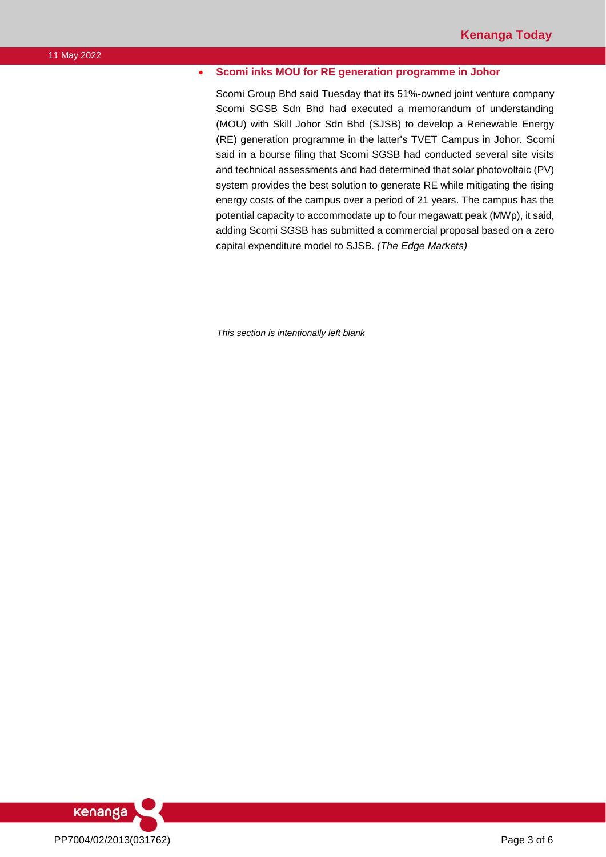### • **Scomi inks MOU for RE generation programme in Johor**

Scomi Group Bhd said Tuesday that its 51%-owned joint venture company Scomi SGSB Sdn Bhd had executed a memorandum of understanding (MOU) with Skill Johor Sdn Bhd (SJSB) to develop a Renewable Energy (RE) generation programme in the latter's TVET Campus in Johor. Scomi said in a bourse filing that Scomi SGSB had conducted several site visits and technical assessments and had determined that solar photovoltaic (PV) system provides the best solution to generate RE while mitigating the rising energy costs of the campus over a period of 21 years. The campus has the potential capacity to accommodate up to four megawatt peak (MWp), it said, adding Scomi SGSB has submitted a commercial proposal based on a zero capital expenditure model to SJSB. *(The Edge Markets)*

*This section is intentionally left blank*

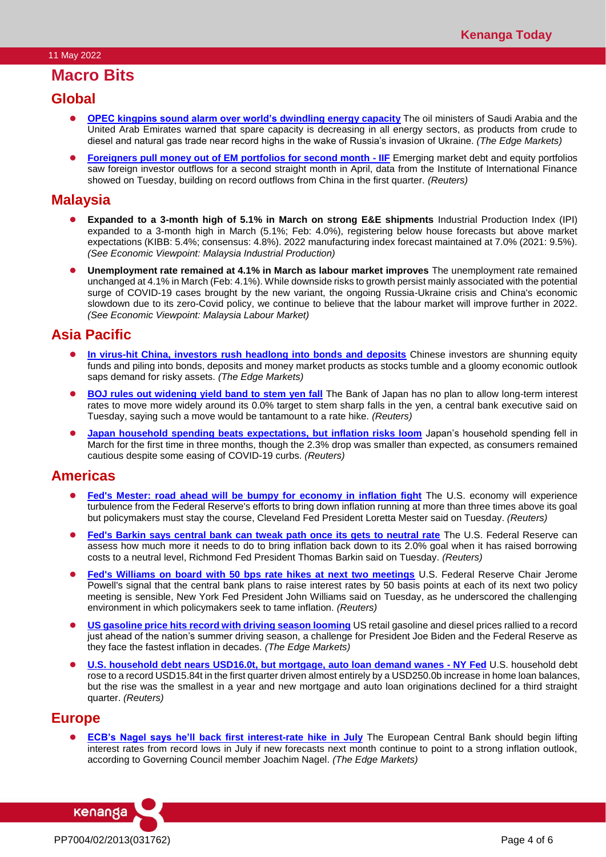# **Macro Bits**

### **Global**

- **[OPEC kingpins sound alarm over world's dwindling energy capacity](https://www.theedgemarkets.com/article/opec-kingpins-sound-alarm-over-worlds-dwindling-energy-capacity)** The oil ministers of Saudi Arabia and the United Arab Emirates warned that spare capacity is decreasing in all energy sectors, as products from crude to diesel and natural gas trade near record highs in the wake of Russia's invasion of Ukraine. *(The Edge Markets)*
- **[Foreigners pull money out of EM portfolios for second month -](https://www.reuters.com/article/global-emerging-flows-iif/foreigners-pull-money-out-of-em-portfolios-for-second-month-iif-idUSKCN2MW0U8) IIF** Emerging market debt and equity portfolios saw foreign investor outflows for a second straight month in April, data from the Institute of International Finance showed on Tuesday, building on record outflows from China in the first quarter. *(Reuters)*

## **Malaysia**

- ⚫ **Expanded to a 3-month high of 5.1% in March on strong E&E shipments** Industrial Production Index (IPI) expanded to a 3-month high in March (5.1%; Feb: 4.0%), registering below house forecasts but above market expectations (KIBB: 5.4%; consensus: 4.8%). 2022 manufacturing index forecast maintained at 7.0% (2021: 9.5%). *(See Economic Viewpoint: Malaysia Industrial Production)*
- ⚫ **Unemployment rate remained at 4.1% in March as labour market improves** The unemployment rate remained unchanged at 4.1% in March (Feb: 4.1%). While downside risks to growth persist mainly associated with the potential surge of COVID-19 cases brought by the new variant, the ongoing Russia-Ukraine crisis and China's economic slowdown due to its zero-Covid policy, we continue to believe that the labour market will improve further in 2022. *(See Economic Viewpoint: Malaysia Labour Market)*

## **Asia Pacific**

- **[In virus-hit China, investors rush headlong into bonds and deposits](https://www.theedgemarkets.com/article/virushit-china-investors-rush-headlong-bonds-and-deposits)** Chinese investors are shunning equity funds and piling into bonds, deposits and money market products as stocks tumble and a gloomy economic outlook saps demand for risky assets. *(The Edge Markets)*
- ⚫ **[BOJ rules out widening yield band to stem yen fall](https://www.reuters.com/article/japan-economy-yen/boj-rules-out-widening-yield-band-to-stem-yen-fall-idUSKCN2MW02D)** The Bank of Japan has no plan to allow long-term interest rates to move more widely around its 0.0% target to stem sharp falls in the yen, a central bank executive said on Tuesday, saying such a move would be tantamount to a rate hike. *(Reuters)*
- **[Japan household spending beats expectations, but inflation risks loom](https://www.reuters.com/article/japan-economy-spending/japan-household-spending-beats-expectations-but-inflation-risks-loom-idUSKCN2MV220)** Japan's household spending fell in March for the first time in three months, though the 2.3% drop was smaller than expected, as consumers remained cautious despite some easing of COVID-19 curbs. *(Reuters)*

## **Americas**

- **[Fed's Mester: road ahead will be bumpy for economy in inflation fight](https://www.reuters.com/business/feds-mester-road-ahead-will-be-bumpy-economy-inflation-fight-2022-05-10/)** The U.S. economy will experience turbulence from the Federal Reserve's efforts to bring down inflation running at more than three times above its goal but policymakers must stay the course, Cleveland Fed President Loretta Mester said on Tuesday. *(Reuters)*
- **[Fed's Barkin says central bank can tweak path once its gets to neutral rate](https://www.reuters.com/business/feds-barkin-says-central-bank-can-tweak-path-once-its-gets-neutral-rate-2022-05-10/)** The U.S. Federal Reserve can assess how much more it needs to do to bring inflation back down to its 2.0% goal when it has raised borrowing costs to a neutral level, Richmond Fed President Thomas Barkin said on Tuesday. *(Reuters)*
- ⚫ **[Fed's Williams on board with 50 bps rate hikes at next two meetings](https://www.reuters.com/world/us/feds-task-tame-inflation-difficult-amid-tremendous-amount-uncertainty-williams-2022-05-10/)** U.S. Federal Reserve Chair Jerome Powell's signal that the central bank plans to raise interest rates by 50 basis points at each of its next two policy meeting is sensible, New York Fed President John Williams said on Tuesday, as he underscored the challenging environment in which policymakers seek to tame inflation. *(Reuters)*
- **[US gasoline price hits record with driving season looming](https://www.theedgemarkets.com/article/us-gasoline-price-hits-record-driving-season-looming)** US retail gasoline and diesel prices rallied to a record just ahead of the nation's summer driving season, a challenge for President Joe Biden and the Federal Reserve as they face the fastest inflation in decades. *(The Edge Markets)*
- ⚫ **[U.S. household debt nears USD16.0t, but mortgage, auto loan demand wanes -](https://www.reuters.com/business/us-household-debt-nears-16-trln-mortgage-auto-loan-demand-wanes-ny-fed-2022-05-10/) NY Fed** U.S. household debt rose to a record USD15.84t in the first quarter driven almost entirely by a USD250.0b increase in home loan balances, but the rise was the smallest in a year and new mortgage and auto loan originations declined for a third straight quarter. *(Reuters)*

## **Europe**

**[ECB's Nagel says he'll back first interest-rate hike in July](https://www.theedgemarkets.com/article/ecbs-nagel-says-hell-back-first-interestrate-hike-july)** The European Central Bank should begin lifting interest rates from record lows in July if new forecasts next month continue to point to a strong inflation outlook, according to Governing Council member Joachim Nagel. *(The Edge Markets)*

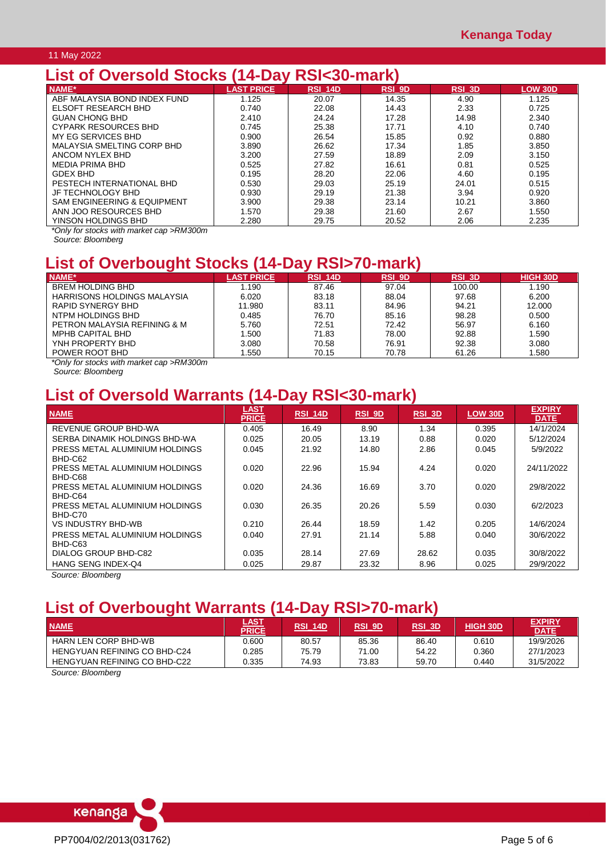#### 11 May 2022

# **List of Oversold Stocks (14-Day RSI<30-mark)**

| NAME*                                  | <b>LAST PRICE</b> | RSI 14D | RSI 9D | $RSL$ 3D | <b>LOW 30D</b> |
|----------------------------------------|-------------------|---------|--------|----------|----------------|
| ABF MALAYSIA BOND INDEX FUND           | 1.125             | 20.07   | 14.35  | 4.90     | 1.125          |
| ELSOFT RESEARCH BHD                    | 0.740             | 22.08   | 14.43  | 2.33     | 0.725          |
| <b>GUAN CHONG BHD</b>                  | 2.410             | 24.24   | 17.28  | 14.98    | 2.340          |
| <b>CYPARK RESOURCES BHD</b>            | 0.745             | 25.38   | 17.71  | 4.10     | 0.740          |
| MY EG SERVICES BHD                     | 0.900             | 26.54   | 15.85  | 0.92     | 0.880          |
| MALAYSIA SMELTING CORP BHD             | 3.890             | 26.62   | 17.34  | 1.85     | 3.850          |
| ANCOM NYLEX BHD                        | 3.200             | 27.59   | 18.89  | 2.09     | 3.150          |
| <b>MEDIA PRIMA BHD</b>                 | 0.525             | 27.82   | 16.61  | 0.81     | 0.525          |
| GDEX BHD                               | 0.195             | 28.20   | 22.06  | 4.60     | 0.195          |
| PESTECH INTERNATIONAL BHD              | 0.530             | 29.03   | 25.19  | 24.01    | 0.515          |
| JF TECHNOLOGY BHD                      | 0.930             | 29.19   | 21.38  | 3.94     | 0.920          |
| <b>SAM ENGINEERING &amp; EQUIPMENT</b> | 3.900             | 29.38   | 23.14  | 10.21    | 3.860          |
| ANN JOO RESOURCES BHD                  | 1.570             | 29.38   | 21.60  | 2.67     | 1.550          |
| YINSON HOLDINGS BHD                    | 2.280             | 29.75   | 20.52  | 2.06     | 2.235          |

*\*Only for stocks with market cap >RM300m*

*Source: Bloomberg*

# **List of Overbought Stocks (14-Day RSI>70-mark)**

| NAME*                        | <b>LAST PRICE</b> | <b>RSI 14D</b> | RSI_9D | <b>RSI 3D</b> | <b>HIGH 30D</b> |
|------------------------------|-------------------|----------------|--------|---------------|-----------------|
| <b>BREM HOLDING BHD</b>      | l.190             | 87.46          | 97.04  | 100.00        | 1.190           |
| HARRISONS HOLDINGS MALAYSIA  | 6.020             | 83.18          | 88.04  | 97.68         | 6.200           |
| RAPID SYNERGY BHD            | 11.980            | 83.11          | 84.96  | 94.21         | 12.000          |
| NTPM HOLDINGS BHD            | 0.485             | 76.70          | 85.16  | 98.28         | 0.500           |
| PETRON MALAYSIA REFINING & M | 5.760             | 72.51          | 72.42  | 56.97         | 6.160           |
| <b>MPHB CAPITAL BHD</b>      | .500              | 71.83          | 78.00  | 92.88         | 1.590           |
| YNH PROPERTY BHD             | 3.080             | 70.58          | 76.91  | 92.38         | 3.080           |
| POWER ROOT BHD               | .550              | 70.15          | 70.78  | 61.26         | 1.580           |
|                              |                   |                |        |               |                 |

*\*Only for stocks with market cap >RM300m*

*Source: Bloomberg*

# **List of Oversold Warrants (14-Day RSI<30-mark)**

| <b>NAME</b>                    | <b>LAST</b><br><b>PRICE</b> | <b>RSI 14D</b> | $RSI$ 9D | $RSI$ 3D | <b>LOW 30D</b> | <b>EXPIRY</b><br><b>DATE</b> |
|--------------------------------|-----------------------------|----------------|----------|----------|----------------|------------------------------|
| REVENUE GROUP BHD-WA           | 0.405                       | 16.49          | 8.90     | 1.34     | 0.395          | 14/1/2024                    |
| SERBA DINAMIK HOLDINGS BHD-WA  | 0.025                       | 20.05          | 13.19    | 0.88     | 0.020          | 5/12/2024                    |
| PRESS METAL ALUMINIUM HOLDINGS | 0.045                       | 21.92          | 14.80    | 2.86     | 0.045          | 5/9/2022                     |
| BHD-C62                        |                             |                |          |          |                |                              |
| PRESS METAL ALUMINIUM HOLDINGS | 0.020                       | 22.96          | 15.94    | 4.24     | 0.020          | 24/11/2022                   |
| BHD-C68                        |                             |                |          |          |                |                              |
| PRESS METAL ALUMINIUM HOLDINGS | 0.020                       | 24.36          | 16.69    | 3.70     | 0.020          | 29/8/2022                    |
| BHD-C64                        |                             |                |          |          |                |                              |
| PRESS METAL ALUMINIUM HOLDINGS | 0.030                       | 26.35          | 20.26    | 5.59     | 0.030          | 6/2/2023                     |
| BHD-C70                        |                             |                |          |          |                |                              |
| VS INDUSTRY BHD-WB             | 0.210                       | 26.44          | 18.59    | 1.42     | 0.205          | 14/6/2024                    |
| PRESS METAL ALUMINIUM HOLDINGS | 0.040                       | 27.91          | 21.14    | 5.88     | 0.040          | 30/6/2022                    |
| BHD-C63                        |                             |                |          |          |                |                              |
| DIALOG GROUP BHD-C82           | 0.035                       | 28.14          | 27.69    | 28.62    | 0.035          | 30/8/2022                    |
| HANG SENG INDEX-Q4             | 0.025                       | 29.87          | 23.32    | 8.96     | 0.025          | 29/9/2022                    |
| Course Disembers               |                             |                |          |          |                |                              |

*Source: Bloomberg*

# **List of Overbought Warrants (14-Day RSI>70-mark)**

| <b>NAME</b>                  | <u>LAST</u><br><b>PRICE</b> | <b>RSI 14D</b> | <b>RSI 9D</b> | <b>RSI 3D</b> | <b>HIGH 30D</b> | <b>EXPIRY</b><br><b>DATE</b> |
|------------------------------|-----------------------------|----------------|---------------|---------------|-----------------|------------------------------|
| <b>HARN LEN CORP BHD-WB</b>  | 0.600                       | 80.57          | 85.36         | 86.40         | 0.610           | 19/9/2026                    |
| HENGYUAN REFINING CO BHD-C24 | 0.285                       | 75.79          | 71.00         | 54.22         | 0.360           | 27/1/2023                    |
| HENGYUAN REFINING CO BHD-C22 | 0.335                       | 74.93          | 73.83         | 59.70         | 0.440           | 31/5/2022                    |
| Original Directors           |                             |                |               |               |                 |                              |

*Source: Bloomberg*